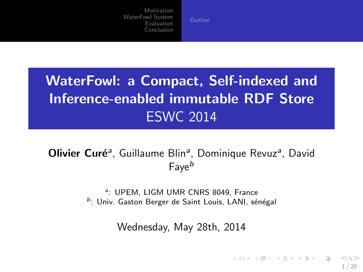# WaterFowl: a Compact, Self-indexed and Inference-enabled immutable RDF Store ESWC 2014

# Olivier Curé<sup>a</sup>, Guillaume Blin<sup>a</sup>, Dominique Revuz<sup>a</sup>, David  $F$ ave $^b$

a: UPEM, LIGM UMR CNRS 8049, France <sup>b</sup>: Univ. Gaston Berger de Saint Louis, LANI, sénégal

Wednesday, May 28th, 2014

 $1/20$ 

 $\Omega$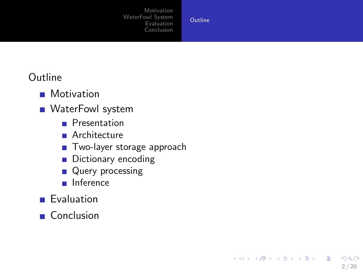**[Outline](#page-1-0)** 

<span id="page-1-0"></span> $2/20$ 

 $2990$ 

イロト イ部 トイ君 トイ君 トッ 君

## Outline

- **Motivation**
- **NaterFowl system** 
	- **Presentation**
	- **Architecture**
	- **Two-layer storage approach**
	- Dictionary encoding
	- **Query processing**
	- **Inference**
- **Evaluation**
- Conclusion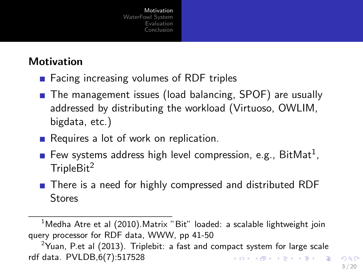# **Motivation**

- $\blacksquare$  Facing increasing volumes of RDF triples
- The management issues (load balancing, SPOF) are usually addressed by distributing the workload (Virtuoso, OWLIM, bigdata, etc.)
- Requires a lot of work on replication.
- Few systems address high level compression, e.g.,  $BitMat<sup>1</sup>$ ,  $TrioleBit<sup>2</sup>$
- There is a need for highly compressed and distributed RDF **Stores**

<sup>&</sup>lt;sup>1</sup>Medha Atre et al (2010). Matrix "Bit" loaded: a scalable lightweight join query processor for RDF data, WWW, pp 41-50

<span id="page-2-0"></span><sup>&</sup>lt;sup>2</sup>Yuan, P.et al (2013). Triplebit: a fast and compact system for large scale rdf data. PVLDB,6(7):517528 K ロ ▶ K @ ▶ K 할 ▶ K 할 ▶ ( 할 ) 900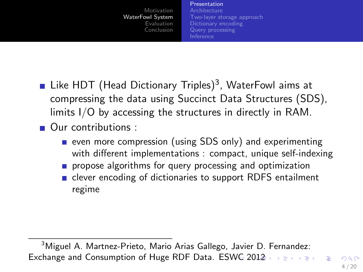#### [Presentation](#page-3-0)

<span id="page-3-0"></span>**[Architecture](#page-4-0)** [Two-layer storage approach](#page-5-0) [Dictionary encoding](#page-11-0) [Query processing](#page-13-0) [Inference](#page-14-0)

- Like  $HDT$  (Head Dictionary Triples)<sup>3</sup>, WaterFowl aims at compressing the data using Succinct Data Structures (SDS), limits I/O by accessing the structures in directly in RAM.
- **Our contributions** 
	- even more compression (using SDS only) and experimenting with different implementations : compact, unique self-indexing
	- propose algorithms for query processing and optimization
	- clever encoding of dictionaries to support RDFS entailment regime

<sup>&</sup>lt;sup>3</sup>Miguel A. Martnez-Prieto, Mario Arias Gallego, Javier D. Fernandez: Exchange and Consumption of Huge RDF Data. ESWG [2](#page-4-0)[01](#page-2-0)[2](#page-3-0)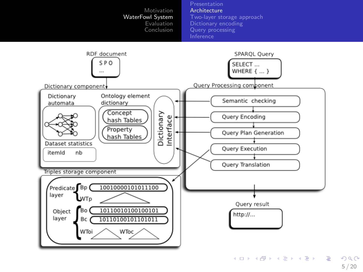

<span id="page-4-0"></span>5 / 20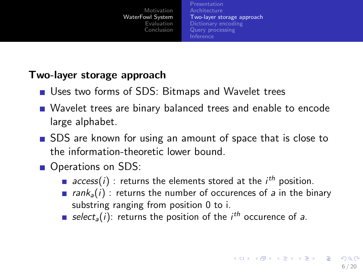<span id="page-5-0"></span>[Presentation](#page-3-0) [Architecture](#page-4-0) [Two-layer storage approach](#page-5-0) [Query processing](#page-13-0) [Inference](#page-14-0)

### Two-layer storage approach

- Uses two forms of SDS: Bitmaps and Wavelet trees
- Wavelet trees are binary balanced trees and enable to encode large alphabet.
- SDS are known for using an amount of space that is close to the information-theoretic lower bound.
- Operations on SDS:
	- $access(i)$ : returns the elements stored at the  $i<sup>th</sup>$  position.
	- **rank**<sub>a</sub>(i) : returns the number of occurences of a in the binary substring ranging from position 0 to i.
	- select<sub>a</sub>(i): returns the position of the *i<sup>th</sup>* occurence of a.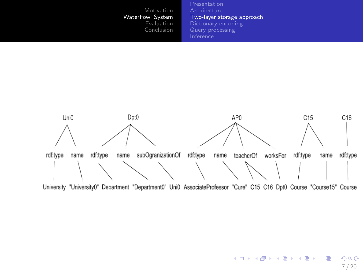[Presentation](#page-3-0) [Two-layer storage approach](#page-5-0) [Dictionary encoding](#page-11-0) [Query processing](#page-13-0) **[Inference](#page-14-0)** 



イロメ イ団メ イミメ イモメー  $299$ **E** 7 / 20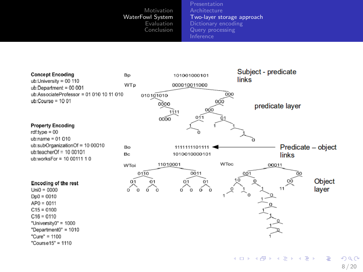[Presentation](#page-3-0) [Architecture](#page-4-0) [Two-layer storage approach](#page-5-0) [Dictionary encoding](#page-11-0) [Query processing](#page-13-0) [Inference](#page-14-0)



8 / 20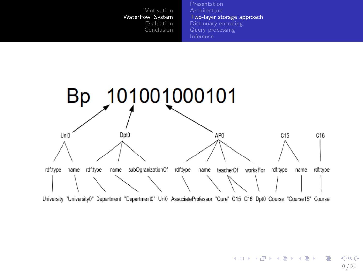[Presentation](#page-3-0) [Architecture](#page-4-0) [Two-layer storage approach](#page-5-0) [Dictionary encoding](#page-11-0) [Query processing](#page-13-0) [Inference](#page-14-0)



University "University0" Department "Department0" Uni0 AssociateProfessor "Cure" C15 C16 Dpt0 Course "Course15" Course

メロメ メ部 メメ きょうくきょう **E**  $2990$ 9 / 20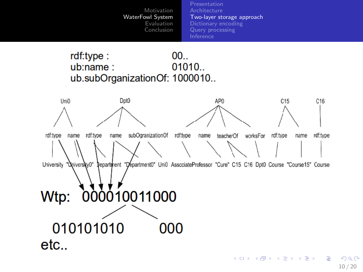[Presentation](#page-3-0) [Architecture](#page-4-0) [Two-layer storage approach](#page-5-0) [Dictionary encoding](#page-11-0) [Query processing](#page-13-0) [Inference](#page-14-0)

#### rdf:type:  $00...$ ub:name: 01010. ub.subOrganizationOf: 1000010..

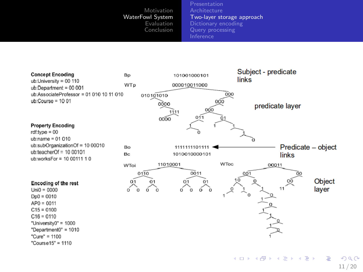[Presentation](#page-3-0) [Architecture](#page-4-0) [Two-layer storage approach](#page-5-0) [Dictionary encoding](#page-11-0) [Query processing](#page-13-0) [Inference](#page-14-0)



11 / 20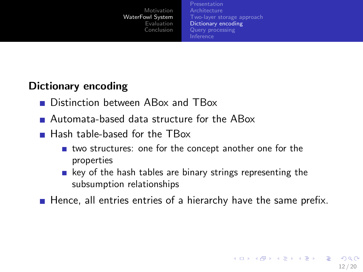[Presentation](#page-3-0) [Architecture](#page-4-0) [Two-layer storage approach](#page-5-0) [Dictionary encoding](#page-11-0) [Query processing](#page-13-0) [Inference](#page-14-0)

# Dictionary encoding

- **Distinction between ABox and TBox**
- Automata-based data structure for the ABox
- **Hash table-based for the TBox** 
	- two structures: one for the concept another one for the properties
	- $\blacksquare$  key of the hash tables are binary strings representing the subsumption relationships
- <span id="page-11-0"></span>Hence, all entries entries of a hierarchy have the same prefix.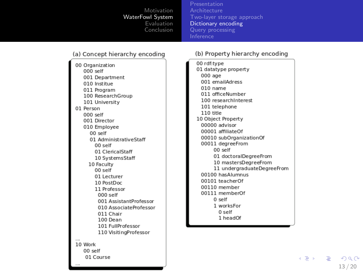[Presentation](#page-3-0) [Two-layer storage approach](#page-5-0) [Dictionary encoding](#page-11-0) [Query processing](#page-13-0) [Inference](#page-14-0)

#### (a) Concept hierarchy encoding

00 Organization 000 self 001 Department 010 Institue 011 Program 100 ResearchGroup 101 University 01 Person  $000$  self 001 Director 010 Employee 00 self 01 AdministrativeStaff 00 self 01 ClericalStaff 10 SystemsStaff 10 Faculty  $00$  self 01 Lecturer 10 PostDoc 11 Professor  $000$  self 001 AssistantProfessor 010 AssociateProfessor 011 Chair 100 Dean 101 FullProfessor 110 VisitingProfessor 10 Work 00 self 01 Course

#### (b) Property hierarchy encoding

00 rdf:type 01 datatype property  $000$  age 001 emailAdress 010 name 011 officeNumber 100 researchInterest 101 telephone 110 title 10 Object Property 00000 advisor 00001 affiliateOf 00010 subOrganizationOf 00011 degreeFrom 00 self 01 doctoralDegreeFrom 10 mastersDegreeFrom 11 undergraduateDegreeFrom 00100 hasAlumnus 00101 teacherOf 00110 member 00111 memberOf  $0$  self 1 worksFor  $0$  self 1 headOf

> $\leftarrow \equiv +$  $\equiv$   $\Omega$ 13 / 20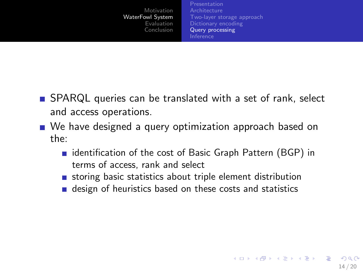[Presentation](#page-3-0) [Architecture](#page-4-0) [Two-layer storage approach](#page-5-0) [Query processing](#page-13-0) [Inference](#page-14-0)

<span id="page-13-0"></span>14 / 20

**KORK EX KEY A BY A GAR** 

- SPARQL queries can be translated with a set of rank, select and access operations.
- We have designed a query optimization approach based on the:
	- $\blacksquare$  identification of the cost of Basic Graph Pattern (BGP) in terms of access, rank and select
	- storing basic statistics about triple element distribution
	- design of heuristics based on these costs and statistics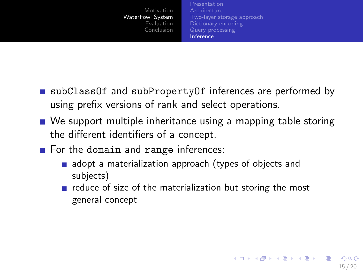<span id="page-14-0"></span>[Presentation](#page-3-0) **[Architecture](#page-4-0)** [Two-layer storage approach](#page-5-0) [Dictionary encoding](#page-11-0) [Query processing](#page-13-0) [Inference](#page-14-0)

- subClassOf and subPropertyOf inferences are performed by using prefix versions of rank and select operations.
- We support multiple inheritance using a mapping table storing the different identifiers of a concept.
- For the domain and range inferences:
	- adopt a materialization approach (types of objects and subjects)
	- $\blacksquare$  reduce of size of the materialization but storing the most general concept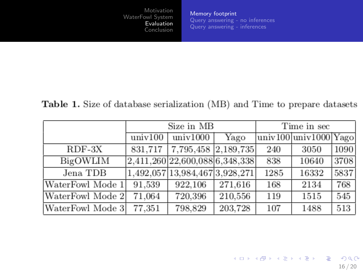<span id="page-15-0"></span>[Memory footprint](#page-15-0) [Query answering - no inferences](#page-16-0) [Query answering - inferences](#page-17-0)

Table 1. Size of database serialization (MB) and Time to prepare datasets

|                  | Size in MB |                                 |         | Time in sec |                       |      |
|------------------|------------|---------------------------------|---------|-------------|-----------------------|------|
|                  | univ100    | univ1000                        | Yago    |             | univ100 univ1000 Yago |      |
| $RDF-3X$         |            | 831,717   7,795,458   2,189,735 |         | 240         | 3050                  | 1090 |
| BigOWLIM         |            | 2,411,260 22,600,088 6,348,338  |         | 838         | 10640                 | 3708 |
| Jena TDB         |            | 1,492,057 13,984,467 3,928,271  |         | 1285        | 16332                 | 5837 |
| WaterFowl Mode 1 | 91,539     | 922.106                         | 271,616 | 168         | 2134                  | 768  |
| WaterFowl Mode 2 | 71,064     | 720,396                         | 210,556 | 119         | 1515                  | 545  |
| WaterFowl Mode 3 | 77,351     | 798,829                         | 203,728 | 107         | 1488                  | 513  |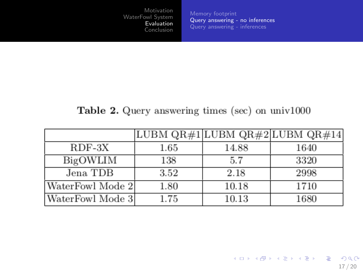<span id="page-16-0"></span>[Query answering - no inferences](#page-16-0) [Query answering - inferences](#page-17-0)

### Table 2. Query answering times (sec) on univ1000

|                  |      |       | LUBM QR#1 LUBM QR#2 LUBM QR#14 |
|------------------|------|-------|--------------------------------|
| $RDF-3X$         | 1.65 | 14.88 | 1640                           |
| BigOWLIM         | 138  | 5.7   | 3320                           |
| Jena TDB         | 3.52 | 2.18  | 2998                           |
| WaterFowl Mode 2 | 1.80 | 10.18 | 1710                           |
| WaterFowl Mode 3 | 1.75 | 10.13 | 1680                           |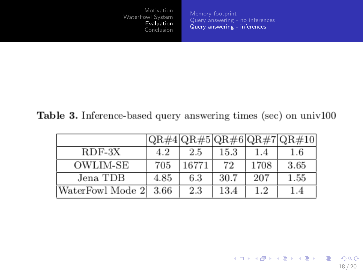[Query answering - no inferences](#page-16-0) [Query answering - inferences](#page-17-0)

<span id="page-17-0"></span>18 / 20

K ロ ▶ K @ ▶ K 할 ▶ K 할 ▶ → 할 → 9 Q @

### Table 3. Inference-based query answering times (sec) on univ100

|                  |      |       |      |      | QR#4 QR#5 QR#6 QR#7 QR#10 |
|------------------|------|-------|------|------|---------------------------|
| $RDF-3X$         | 4.2  | 2.5   | 15.3 | 1.4  | $_{1.6}$                  |
| OWLIM-SE         | 705  | 16771 | 72   | 1708 | 3.65                      |
| Jena TDB         | 4.85 | 6.3   | 30.7 | 207  | $1.55\,$                  |
| WaterFowl Mode 2 | 3.66 | 2.3   | 13.4 | 1.2  |                           |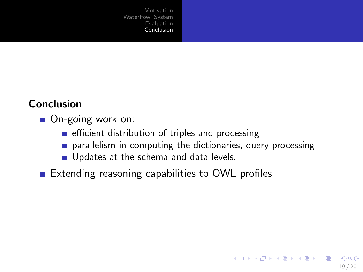### Conclusion

- On-going work on:
	- $\blacksquare$  efficient distribution of triples and processing
	- **parallelism in computing the dictionaries, query processing**

<span id="page-18-0"></span>19 / 20

K ロ > K 何 > K 君 > K 君 > 「君」 の Q Q

- Updates at the schema and data levels.
- **Extending reasoning capabilities to OWL profiles**